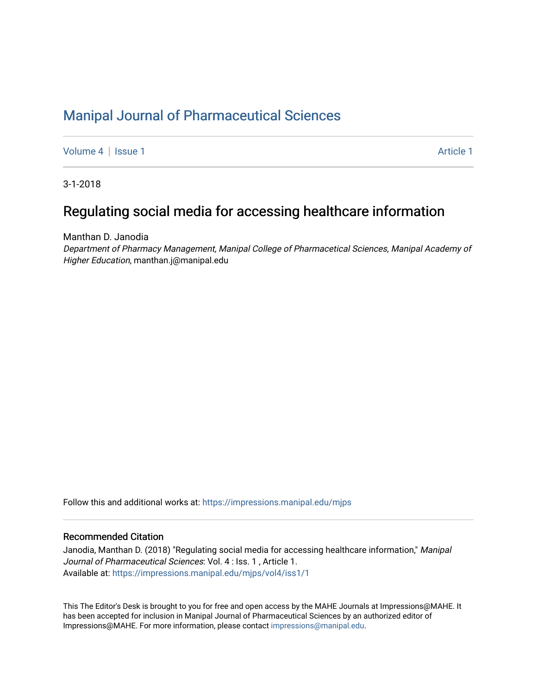## [Manipal Journal of Pharmaceutical Sciences](https://impressions.manipal.edu/mjps)

[Volume 4](https://impressions.manipal.edu/mjps/vol4) | [Issue 1](https://impressions.manipal.edu/mjps/vol4/iss1) Article 1

3-1-2018

### Regulating social media for accessing healthcare information

Manthan D. Janodia

Department of Pharmacy Management, Manipal College of Pharmacetical Sciences, Manipal Academy of Higher Education, manthan.j@manipal.edu

Follow this and additional works at: [https://impressions.manipal.edu/mjps](https://impressions.manipal.edu/mjps?utm_source=impressions.manipal.edu%2Fmjps%2Fvol4%2Fiss1%2F1&utm_medium=PDF&utm_campaign=PDFCoverPages)

### Recommended Citation

Janodia, Manthan D. (2018) "Regulating social media for accessing healthcare information," Manipal Journal of Pharmaceutical Sciences: Vol. 4 : Iss. 1 , Article 1. Available at: [https://impressions.manipal.edu/mjps/vol4/iss1/1](https://impressions.manipal.edu/mjps/vol4/iss1/1?utm_source=impressions.manipal.edu%2Fmjps%2Fvol4%2Fiss1%2F1&utm_medium=PDF&utm_campaign=PDFCoverPages)

This The Editor's Desk is brought to you for free and open access by the MAHE Journals at Impressions@MAHE. It has been accepted for inclusion in Manipal Journal of Pharmaceutical Sciences by an authorized editor of Impressions@MAHE. For more information, please contact [impressions@manipal.edu](mailto:impressions@manipal.edu).